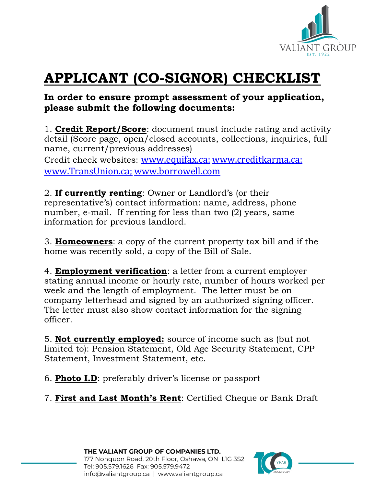

# **APPLICANT (CO-SIGNOR) CHECKLIST**

### **In order to ensure prompt assessment of your application, please submit the following documents:**

1. **Credit Report/Score**: document must include rating and activity detail (Score page, open/closed accounts, collections, inquiries, full name, current/previous addresses)

Credit check websites: [www.equifax.ca;](http://www.equifax.ca/) [www.creditkarma.ca;](http://www.credit-reports.ca/) [www.TransUnion.ca;](http://www.transunion.ca/) [www.borrowell.com](http://www.borrowell.com/)

2. **If currently renting**: Owner or Landlord's (or their representative's) contact information: name, address, phone number, e-mail. If renting for less than two (2) years, same information for previous landlord.

3. **Homeowners**: a copy of the current property tax bill and if the home was recently sold, a copy of the Bill of Sale.

4. **Employment verification**: a letter from a current employer stating annual income or hourly rate, number of hours worked per week and the length of employment. The letter must be on company letterhead and signed by an authorized signing officer. The letter must also show contact information for the signing officer.

5. **Not currently employed:** source of income such as (but not limited to): Pension Statement, Old Age Security Statement, CPP Statement, Investment Statement, etc.

6. **Photo I.D**: preferably driver's license or passport

7. **First and Last Month's Rent**: Certified Cheque or Bank Draft

THE VALIANT GROUP OF COMPANIES LTD. 177 Nonquon Road, 20th Floor, Oshawa, ON LIG 3S2 Tel: 905.579.1626 Fax: 905.579.9472 info@valiantgroup.ca | www.valiantgroup.ca